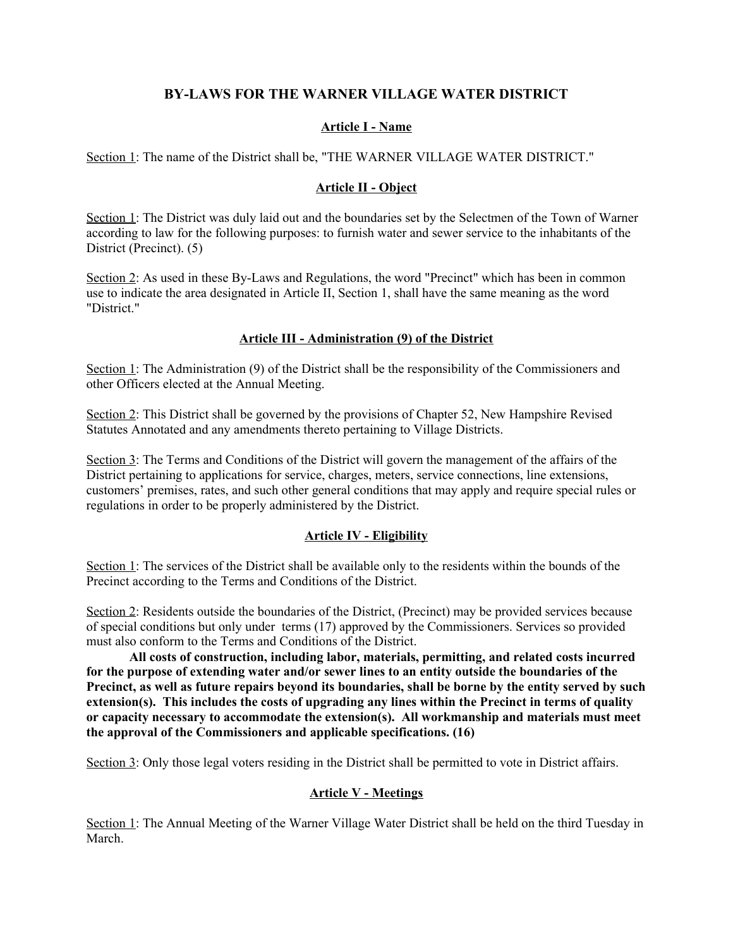# **BY-LAWS FOR THE WARNER VILLAGE WATER DISTRICT**

### **Article I - Name**

Section 1: The name of the District shall be, "THE WARNER VILLAGE WATER DISTRICT."

#### **Article II - Object**

Section 1: The District was duly laid out and the boundaries set by the Selectmen of the Town of Warner according to law for the following purposes: to furnish water and sewer service to the inhabitants of the District (Precinct). (5)

Section 2: As used in these By-Laws and Regulations, the word "Precinct" which has been in common use to indicate the area designated in Article II, Section 1, shall have the same meaning as the word "District."

#### **Article III - Administration (9) of the District**

Section 1: The Administration (9) of the District shall be the responsibility of the Commissioners and other Officers elected at the Annual Meeting.

Section 2: This District shall be governed by the provisions of Chapter 52, New Hampshire Revised Statutes Annotated and any amendments thereto pertaining to Village Districts.

Section 3: The Terms and Conditions of the District will govern the management of the affairs of the District pertaining to applications for service, charges, meters, service connections, line extensions, customers' premises, rates, and such other general conditions that may apply and require special rules or regulations in order to be properly administered by the District.

#### **Article IV - Eligibility**

Section 1: The services of the District shall be available only to the residents within the bounds of the Precinct according to the Terms and Conditions of the District.

Section 2: Residents outside the boundaries of the District, (Precinct) may be provided services because of special conditions but only under terms (17) approved by the Commissioners. Services so provided must also conform to the Terms and Conditions of the District.

**All costs of construction, including labor, materials, permitting, and related costs incurred for the purpose of extending water and/or sewer lines to an entity outside the boundaries of the Precinct, as well as future repairs beyond its boundaries, shall be borne by the entity served by such extension(s). This includes the costs of upgrading any lines within the Precinct in terms of quality or capacity necessary to accommodate the extension(s). All workmanship and materials must meet the approval of the Commissioners and applicable specifications. (16)**

Section 3: Only those legal voters residing in the District shall be permitted to vote in District affairs.

#### **Article V - Meetings**

Section 1: The Annual Meeting of the Warner Village Water District shall be held on the third Tuesday in March.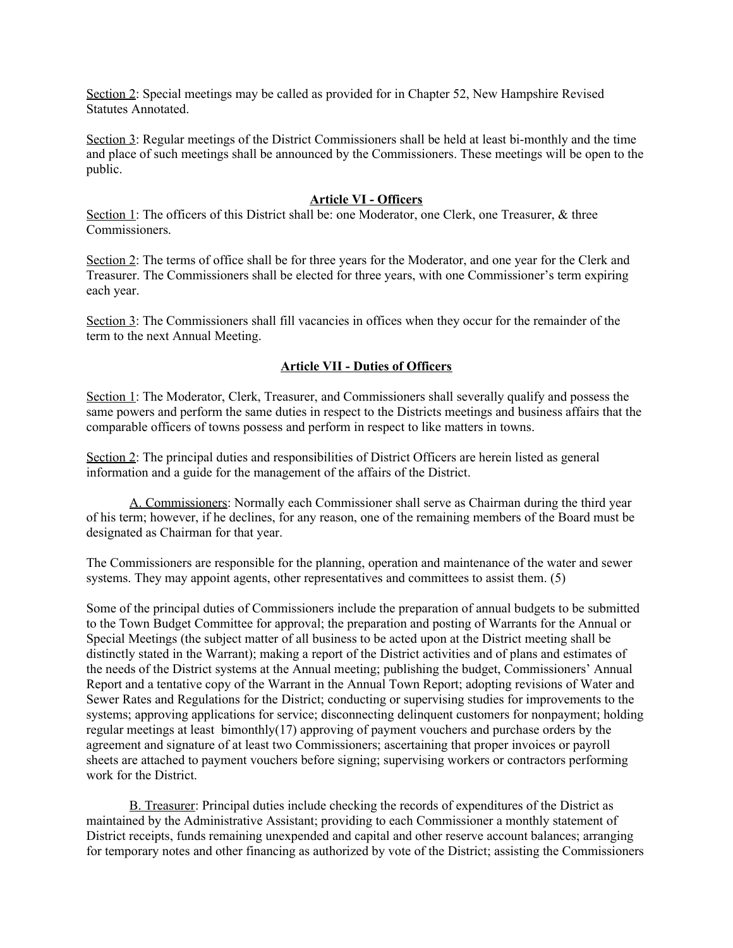Section 2: Special meetings may be called as provided for in Chapter 52, New Hampshire Revised Statutes Annotated.

Section 3: Regular meetings of the District Commissioners shall be held at least bi-monthly and the time and place of such meetings shall be announced by the Commissioners. These meetings will be open to the public.

#### **Article VI - Officers**

Section 1: The officers of this District shall be: one Moderator, one Clerk, one Treasurer, & three Commissioners.

Section 2: The terms of office shall be for three years for the Moderator, and one year for the Clerk and Treasurer. The Commissioners shall be elected for three years, with one Commissioner's term expiring each year.

Section 3: The Commissioners shall fill vacancies in offices when they occur for the remainder of the term to the next Annual Meeting.

## **Article VII - Duties of Officers**

Section 1: The Moderator, Clerk, Treasurer, and Commissioners shall severally qualify and possess the same powers and perform the same duties in respect to the Districts meetings and business affairs that the comparable officers of towns possess and perform in respect to like matters in towns.

Section 2: The principal duties and responsibilities of District Officers are herein listed as general information and a guide for the management of the affairs of the District.

 A. Commissioners: Normally each Commissioner shall serve as Chairman during the third year of his term; however, if he declines, for any reason, one of the remaining members of the Board must be designated as Chairman for that year.

The Commissioners are responsible for the planning, operation and maintenance of the water and sewer systems. They may appoint agents, other representatives and committees to assist them. (5)

Some of the principal duties of Commissioners include the preparation of annual budgets to be submitted to the Town Budget Committee for approval; the preparation and posting of Warrants for the Annual or Special Meetings (the subject matter of all business to be acted upon at the District meeting shall be distinctly stated in the Warrant); making a report of the District activities and of plans and estimates of the needs of the District systems at the Annual meeting; publishing the budget, Commissioners' Annual Report and a tentative copy of the Warrant in the Annual Town Report; adopting revisions of Water and Sewer Rates and Regulations for the District; conducting or supervising studies for improvements to the systems; approving applications for service; disconnecting delinquent customers for nonpayment; holding regular meetings at least bimonthly(17) approving of payment vouchers and purchase orders by the agreement and signature of at least two Commissioners; ascertaining that proper invoices or payroll sheets are attached to payment vouchers before signing; supervising workers or contractors performing work for the District.

B. Treasurer: Principal duties include checking the records of expenditures of the District as maintained by the Administrative Assistant; providing to each Commissioner a monthly statement of District receipts, funds remaining unexpended and capital and other reserve account balances; arranging for temporary notes and other financing as authorized by vote of the District; assisting the Commissioners